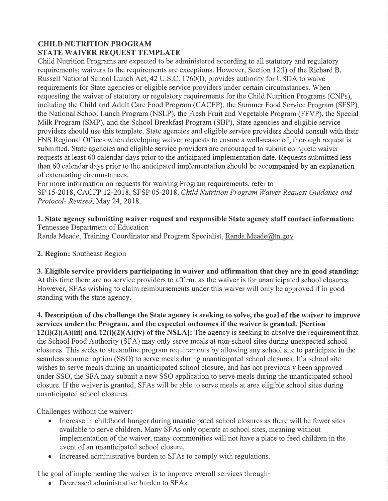### **CHILD NUTRITION PROGRAM** STATE WAIVER REQUEST TEMPLATE

Child Nutrition Programs are expected to be administered according to all statutory and regulatory requirements; waivers to the requirements are exceptions. However, Section 12(1) of the Richard B. Russell National School Lunch Act, 42 U.S.C. 1760(1), provides authority for USDA to waive requirements for State agencies or eligible service providers under certain circumstances. When requesting the waiver of statutory or regulatory requirements for the Child Nutrition Programs (CNPs), including the Child and Adult Care Food Program (CACFP), the Summer Food Service Program (SFSP), the National School Lunch Program (NSLP), the Fresh Fruit and Vegetable Program (FFVP), the Special Milk Program (SMP), and the School Breakfast Program (SBP), State agencies and eligible service providers should use this template. State agencies and eligible service providers should consult with their FNS Regional Offices when developing waiver requests to ensure a well-reasoned, thorough request is submitted. State agencies and eligible service providers are encouraged to submit complete waiver requests at least 60 calendar days prior to the anticipated implementation date. Requests submitted less than 60 calendar days prior to the anticipated implementation should be accompanied by an explanation of extenuating circumstances.

For more information on requests for waiving Program requirements, refer to SP 15-2018, CACFP 12-2018, SFSP 05-2018, Child Nutrition Program Waiver Request Guidance and Protocol-Revised, May 24, 2018.

### 1. State agency submitting waiver request and responsible State agency staff contact information: Tennessee Department of Education

Randa Meade, Training Coordinator and Program Specialist, Randa.Meade@tn.gov

## 2. Region: Southeast Region

3. Eligible service providers participating in waiver and affirmation that they are in good standing: At this time there are no service providers to affirm, as the waiver is for unanticipated school closures. However, SFAs wishing to claim reimbursements under this waiver will only be approved if in good standing with the state agency.

4. Description of the challenge the State agency is seeking to solve, the goal of the waiver to improve services under the Program, and the expected outcomes if the waiver is granted. [Section  $12(1)(2)(A)(iii)$  and  $12(1)(2)(A)(iv)$  of the NSLA: The agency is seeking to absolve the requirement that the School Food Authority (SFA) may only serve meals at non-school sites during unexpected school closures. This seeks to streamline program requirements by allowing any school site to participate in the seamless summer option (SSO) to serve meals during unanticipated school closures. If a school site wishes to serve meals during an unanticipated school closure, and has not previously been approved under SSO, the SFA may submit a new SSO application to serve meals during the unanticipated school closure. If the waiver is granted, SFAs will be able to serve meals at area eligible school sites during unanticipated school closures.

Challenges without the waiver:

- Increase in childhood hunger during unanticipated school closures as there will be fewer sites available to serve children. Many SFAs only operate at school sites, meaning without implementation of the waiver, many communities will not have a place to feed children in the event of an unanticipated school closure.
- Increased administrative burden to SFAs to comply with regulations.  $\bullet$

The goal of implementing the waiver is to improve overall services through.

• Decreased administrative burden to SFAs.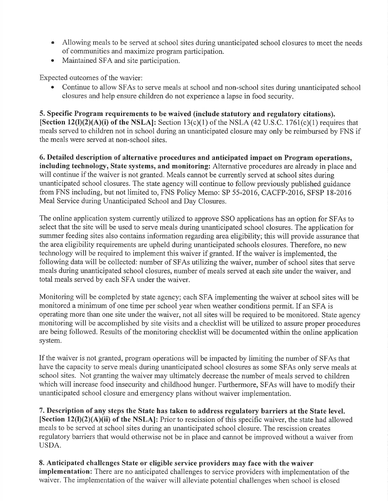- Allowing meals to be served at school sites during unanticipated school closures to meet the needs of communities and maximize program participation.
- Maintained SFA and site participation.

Expected outcomes of the wavier:

Continue to allow SFAs to serve meals at school and non-school sites during unanticipated school closures and help ensure children do not experience a lapse in food security.

5. Specific Program requirements to be waived (include statutory and regulatory citations).

[Section 12(I)(2)(A)(i) of the NSLA]: Section 13(c)(1) of the NSLA (42 U.S.C. 1761(c)(1) requires that meals served to children not in school during an unanticipated closure may only be reimbursed by FNS if the meals were served at non-school sites.

6. Detailed description of alternative procedures and anticipated impact on Program operations, including technology, State systems, and monitoring: Alternative procedures are already in place and will continue if the waiver is not granted. Meals cannot be currently served at school sites during unanticipated school closures. The state agency will continue to follow previously published guidance from FNS including, but not limited to, FNS Policy Memo: SP 55-2016, CACFP-2016, SFSP 18-2016 Meal Service during Unanticipated School and Day Closures.

The online application system currently utilized to approve SSO applications has an option for SFAs to select that the site will be used to serve meals during unanticipated school closures. The application for summer feeding sites also contains information regarding area eligibility; this will provide assurance that the area eligibility requirements are upheld during unanticipated schools closures. Therefore, no new technology will be required to implement this waiver if granted. If the waiver is implemented, the following data will be collected: number of SFAs utilizing the waiver, number of school sites that serve meals during unanticipated school closures, number of meals served at each site under the waiver, and total meals served by each SFA under the waiver.

Monitoring will be completed by state agency; each SFA implementing the waiver at school sites will be monitored a minimum of one time per school year when weather conditions permit. If an SFA is operating more than one site under the waiver, not all sites will be required to be monitored. State agency monitoring will be accomplished by site visits and a checklist will be utilized to assure proper procedures are being followed. Results of the monitoring checklist will be documented within the online application system.

If the waiver is not granted, program operations will be impacted by limiting the number of SFAs that have the capacity to serve meals during unanticipated school closures as some SFAs only serve meals at school sites. Not granting the waiver may ultimately decrease the number of meals served to children which will increase food insecurity and childhood hunger. Furthermore, SFAs will have to modify their unanticipated school closure and emergency plans without waiver implementation.

7. Description of any steps the State has taken to address regulatory barriers at the State level. [Section  $12(I)(2)(A)(ii)$  of the NSLA]: Prior to rescission of this specific waiver, the state had allowed meals to be served at school sites during an unanticipated school closure. The rescission creates regulatory barriers that would otherwise not be in place and cannot be improved without a waiver from USDA.

8. Anticipated challenges State or eligible service providers may face with the waiver implementation: There are no anticipated challenges to service providers with implementation of the waiver. The implementation of the waiver will alleviate potential challenges when school is closed